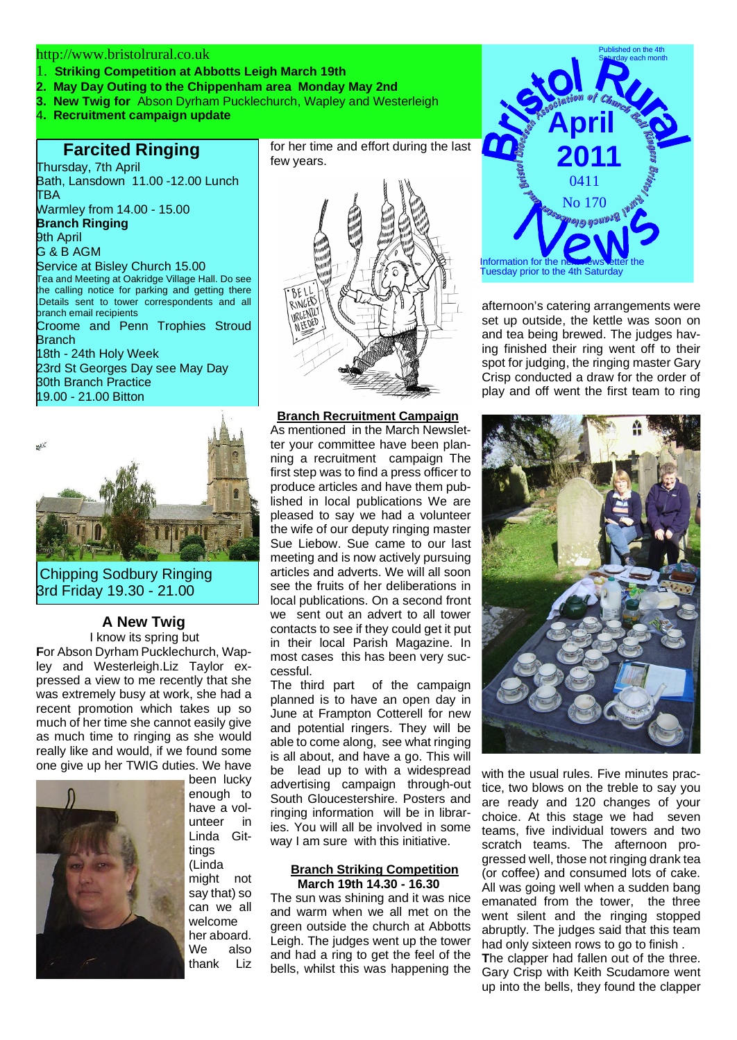### http://www.bristolrural.co.uk

- 1. **Striking Competition at Abbotts Leigh March 19th**
- **2. May Day Outing to the Chippenham area Monday May 2nd**
- **3. New Twig for** Abson Dyrham Pucklechurch, Wapley and Westerleigh
- 4**. Recruitment campaign update**

# **Farcited Ringing**

Thursday, 7th April Bath, Lansdown 11.00 -12.00 Lunch TBA

Warmley from 14.00 - 15.00 **Branch Ringing**

9th April G & B AGM

Service at Bisley Church 15.00 Tea and Meeting at Oakridge Village Hall. Do see

he calling notice for parking and getting there .Details sent to tower correspondents and all branch email recipients Croome and Penn Trophies Stroud Branch

18th - 24th Holy Week 23rd St Georges Day see May Day 30th Branch Practice 19.00 - 21.00 Bitton



Chipping Sodbury Ringing 3rd Friday 19.30 - 21.00

# **A New Twig**

I know its spring but **F**or Abson Dyrham Pucklechurch, Wapley and Westerleigh.Liz Taylor expressed a view to me recently that she was extremely busy at work, she had a recent promotion which takes up so much of her time she cannot easily give as much time to ringing as she would really like and would, if we found some one give up her TWIG duties. We have



been lucky enough to have a volunteer in Linda Gittings (Linda might not say that) so can we all welcome her aboard. We also thank Liz

for her time and effort during the last few years.



## **Branch Recruitment Campaign**

As mentioned in the March Newsletter your committee have been planning a recruitment campaign The first step was to find a press officer to produce articles and have them published in local publications We are pleased to say we had a volunteer the wife of our deputy ringing master Sue Liebow. Sue came to our last meeting and is now actively pursuing articles and adverts. We will all soon see the fruits of her deliberations in local publications. On a second front we sent out an advert to all tower contacts to see if they could get it put in their local Parish Magazine. In most cases this has been very successful.

The third part of the campaign planned is to have an open day in June at Frampton Cotterell for new and potential ringers. They will be able to come along, see what ringing is all about, and have a go. This will be lead up to with a widespread advertising campaign through-out South Gloucestershire. Posters and ringing information will be in libraries. You will all be involved in some way I am sure with this initiative.

#### **Branch Striking Competition March 19th 14.30 - 16.30**

The sun was shining and it was nice and warm when we all met on the green outside the church at Abbotts Leigh. The judges went up the tower and had a ring to get the feel of the bells, whilst this was happening the



afternoon's catering arrangements were set up outside, the kettle was soon on and tea being brewed. The judges having finished their ring went off to their spot for judging, the ringing master Gary Crisp conducted a draw for the order of play and off went the first team to ring



with the usual rules. Five minutes practice, two blows on the treble to say you are ready and 120 changes of your choice. At this stage we had seven teams, five individual towers and two scratch teams. The afternoon progressed well, those not ringing drank tea (or coffee) and consumed lots of cake. All was going well when a sudden bang emanated from the tower, the three went silent and the ringing stopped abruptly. The judges said that this team had only sixteen rows to go to finish . **T**he clapper had fallen out of the three. Gary Crisp with Keith Scudamore went up into the bells, they found the clapper